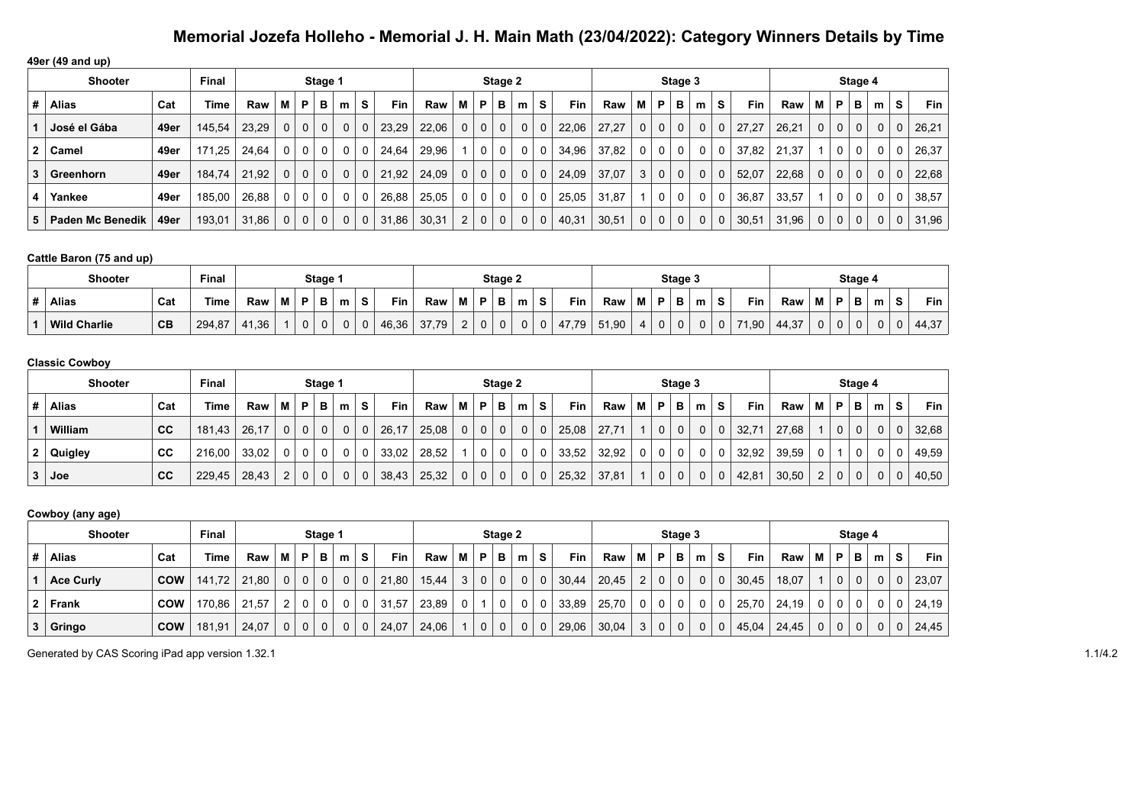**49er (49 and up)**

|                | <b>Shooter</b>   |      | <b>Final</b> |       | Stage 1        |             |              |   |    |       |       |             |                | Stage 2        |              |             |       |       |                |              | Stage 3        |   |             |            |       |             |              | Stage 4 |              |             |            |
|----------------|------------------|------|--------------|-------|----------------|-------------|--------------|---|----|-------|-------|-------------|----------------|----------------|--------------|-------------|-------|-------|----------------|--------------|----------------|---|-------------|------------|-------|-------------|--------------|---------|--------------|-------------|------------|
| #              | <b>Alias</b>     | Cat  | Time         | Raw   | м              | P           | в            | m | S. | Fin   | Raw   | м           | P              | в              | m            | s           | Fin   | Raw   | м              | P            | в              | m | S           | <b>Fin</b> | Raw   | м           | P            | в       | m            | s           | <b>Fin</b> |
|                | José el Gába     | 49er | 145,54       | 23.29 | 0 <sup>1</sup> | $\mathbf 0$ | 0            | 0 | 0  | 23,29 | 22,06 | $\mathbf 0$ | 0 <sup>1</sup> | 0 <sup>1</sup> | $\mathbf{0}$ | $\mathbf 0$ | 22,06 | 27.27 | 0 <sup>1</sup> | $\mathbf 0$  | 0 <sup>1</sup> | 0 | $\mathbf 0$ | 27,27      | 26.21 | $\mathbf 0$ | $\mathbf{0}$ |         | $\mathbf 0$  | 0           | 26,21      |
| $\mathbf{2}^-$ | Camel            | 49er | 171.25       | 24.64 | 0 <sup>1</sup> | 0           | $\mathbf{0}$ |   | 0  | 24.64 | 29.96 |             | 0 <sup>1</sup> | $\mathbf 0$    | 0            | 0           | 34,96 | 37.82 | 0              | 0            | 0              | 0 | 0           | 37,82      | 21.37 |             | 0            |         | $\Omega$     | 0           | 26,37      |
| 3              | Greenhorn        | 49er | 184,74       | 21.92 | 0 <sup>1</sup> | $\mathbf 0$ | $\mathbf{0}$ |   | 0  | 21.92 | 24,09 | $\mathbf 0$ | 0 <sup>1</sup> | 0 <sup>1</sup> | $\mathbf{0}$ | $\mathbf 0$ | 24,09 | 37,07 | 3              | $\mathbf{0}$ | $\mathbf{0}$   | 0 | $\mathbf 0$ | 52,07      | 22,68 | $\mathbf 0$ | $\mathbf 0$  |         | $\mathbf 0$  | $\mathbf 0$ | 22,68      |
| 4              | Yankee           | 49er | 185,00       | 26,88 | 0 <sup>1</sup> | 0           | 0            | 0 | 0  | 26,88 | 25,05 | $\Omega$    | 0 <sup>1</sup> | $\mathbf 0$    | $\Omega$     | 0           | 25,05 | 31,87 |                | 0            | $\mathbf{0}$   | 0 | $\Omega$    | 36,87      | 33,57 |             | $\Omega$     |         | $\mathbf{0}$ | 0           | 38,57      |
| 5 <sup>1</sup> | Paden Mc Benedik | 49er | 193,01       | 31,86 | 0 <sup>1</sup> | $\mathbf 0$ | 0            | 0 | 0  | 31,86 | 30,31 | 2           | 0 <sup>1</sup> | $\mathbf{0}$   | $\mathbf 0$  | $\mathbf 0$ | 40,31 | 30,51 | 0              | 0            | $\mathbf{0}$   | 0 | $\mathbf 0$ | 30,51      | 31,96 | 0           | 0            |         | 0            | $\mathbf 0$ | 31,96      |

#### **Cattle Baron (75 and up)**

| <b>Shooter</b>      |     |        | Stage : |   |   |   |   |       |       | Stage 2     |        |   |   |   |            |       | Stage 3 |             |        |   |   |       |       | Stage 4 |                   |   |   |   |       |
|---------------------|-----|--------|---------|---|---|---|---|-------|-------|-------------|--------|---|---|---|------------|-------|---------|-------------|--------|---|---|-------|-------|---------|-------------------|---|---|---|-------|
| <b>Alias</b>        | Cat | Time   | Raw     | M |   | m | s | Fin   | Raw   | М           | D      | в | m | s | <b>Fin</b> | Raw   | M       | Þ           | в      | m |   | Fin   | Raw   | М       | в                 | в | m |   | Fin   |
| <b>Wild Charlie</b> | CB  | 294,87 | 41,36   |   | 0 |   |   | 46,36 | 37,79 | $\sim$<br>▃ | $\sim$ | v | 0 | 0 | 47,79      | 51,90 |         | $\mathbf 0$ | $\sim$ |   | 0 | 71,90 | 44,37 | 0       | <sup>n</sup><br>ັ | 0 | 0 | U | 44,37 |

#### **Classic Cowboy**

|   | <b>Shooter</b> |     | Final  |       | Stage 1        |    |                |   |   |            |       |                |                | Stage 2      |             |             |            |       |                |                | Stage 3        |   |                         |            |       |                |              | Stage 4 |              |   |       |
|---|----------------|-----|--------|-------|----------------|----|----------------|---|---|------------|-------|----------------|----------------|--------------|-------------|-------------|------------|-------|----------------|----------------|----------------|---|-------------------------|------------|-------|----------------|--------------|---------|--------------|---|-------|
| # | Alias          | Cat | Time   | Raw   | м              | P. | в              | m | S | <b>Fin</b> | Raw   | M I            | P <sub>1</sub> | B            | m           | S.          | <b>Fin</b> | Raw   | МI             | P              | В              | m | s                       | <b>Fin</b> | Raw   | м              | P            | в       | m            | s | Fin   |
|   | William        | CC  | 181.43 | 26.17 | $\Omega$       |    | $\Omega$       | 0 |   | 26,17      | 25,08 | 0 <sup>1</sup> |                | $0 \mid 0$   | 0           | $\Omega$    | 25,08      | 27.71 |                | 0 <sup>1</sup> | $\Omega$       |   | $\mathbf 0$             | 32,71      | 27.68 |                | $\Omega$     |         | $\mathbf{0}$ | 0 | 32,68 |
|   | 2 Quigley      | СC  | 216.00 | 33.02 | 0 <sup>1</sup> |    | 0 <sup>1</sup> |   |   | 33,02      | 28,52 |                | 0 <sup>1</sup> | $\mathbf{0}$ | $\mathbf 0$ | 0           | 33,52      | 32,92 | 0 <sup>1</sup> | 0 <sup>1</sup> | $\overline{0}$ | 0 | $\overline{\mathbf{0}}$ | 32,92      | 39,59 | 0              |              |         | $\mathbf{0}$ |   | 49.59 |
|   | $3 \vert$ Joe  | CC  | 229.45 | 28,43 | $\overline{2}$ |    | $\Omega$       |   |   | 38,43      | 25,32 | $\overline{0}$ |                | $0 \mid 0$   | 0           | $\mathbf 0$ | 25,32      | 37.81 |                | $\overline{0}$ | $\Omega$       |   | $\mathbf 0$             | 42,81      | 30,50 | $\overline{2}$ | $\mathbf{0}$ |         | 0            |   | 40,50 |

#### **Cowboy (any age)**

| <b>Shooter</b>   | Final      |        |       |                | Stage 1        |          |              |              |       |       |                | Stage 2        |              |              |             |            |       |                | Stage 3        |                |          |          |       |       |             | Stage 4      |             |          |           |       |
|------------------|------------|--------|-------|----------------|----------------|----------|--------------|--------------|-------|-------|----------------|----------------|--------------|--------------|-------------|------------|-------|----------------|----------------|----------------|----------|----------|-------|-------|-------------|--------------|-------------|----------|-----------|-------|
| Alias            | Cat        | Time   | Raw   | M I            | P              | в        | m            | S            | Fin   | Raw   | M              | P              | в            | m            | S           | <b>Fin</b> | Raw   | м              | P              | в              | m        | <b>S</b> | Fin   | Raw   | М           | P            | в           | m        | s         | Fin   |
| <b>Ace Curly</b> | <b>COW</b> | 141.72 | 21.80 | 0 <sup>1</sup> | $\overline{0}$ | $\Omega$ | 0            | $\mathbf 0$  | 21,80 | 15,44 | 3 <sup>1</sup> | 0 <sup>1</sup> | $\mathbf{0}$ | $\mathbf{0}$ | $\mathbf 0$ | 30,44      | 20,45 | 2 <sup>1</sup> | $\overline{0}$ | $\overline{0}$ | $\Omega$ | $\Omega$ | 30,45 | 18,07 |             | $\mathbf{0}$ | $\mathbf 0$ | 0        | 0         | 23,07 |
| $2$ Frank        | <b>COW</b> | 170.86 | 21.57 | 2 <sup>1</sup> | $\mathbf{O}$   | $\Omega$ | 0            |              | 31,57 | 23,89 | 0 <sup>1</sup> |                |              | 0            | 0           | 33,89      | 25,70 | 0 <sup>1</sup> | $\mathbf 0$    | $\mathbf{0}$   | 0        |          | 25,70 | 24,19 | 0           | 0            |             | 0        | 0         | 24,19 |
| $3 \mid$ Gringo  | <b>COW</b> | 181.91 | 24.07 | 0 <sup>1</sup> | $\mathbf 0$    | $\Omega$ | $\mathbf{0}$ | $\mathbf{0}$ | 24,07 | 24,06 |                | 0 <sup>1</sup> | $\mathbf{0}$ | $\mathbf 0$  | $\mathbf 0$ | 29,06      | 30,04 |                | $3 \mid 0$     | $\overline{0}$ | $\Omega$ |          | 45,04 | 24,45 | $\mathbf 0$ | $\mathbf 0$  | $\mathbf 0$ | $\Omega$ | $0 \cdot$ | 24,45 |

Generated by CAS Scoring iPad app version 1.32.1 1.1/4.2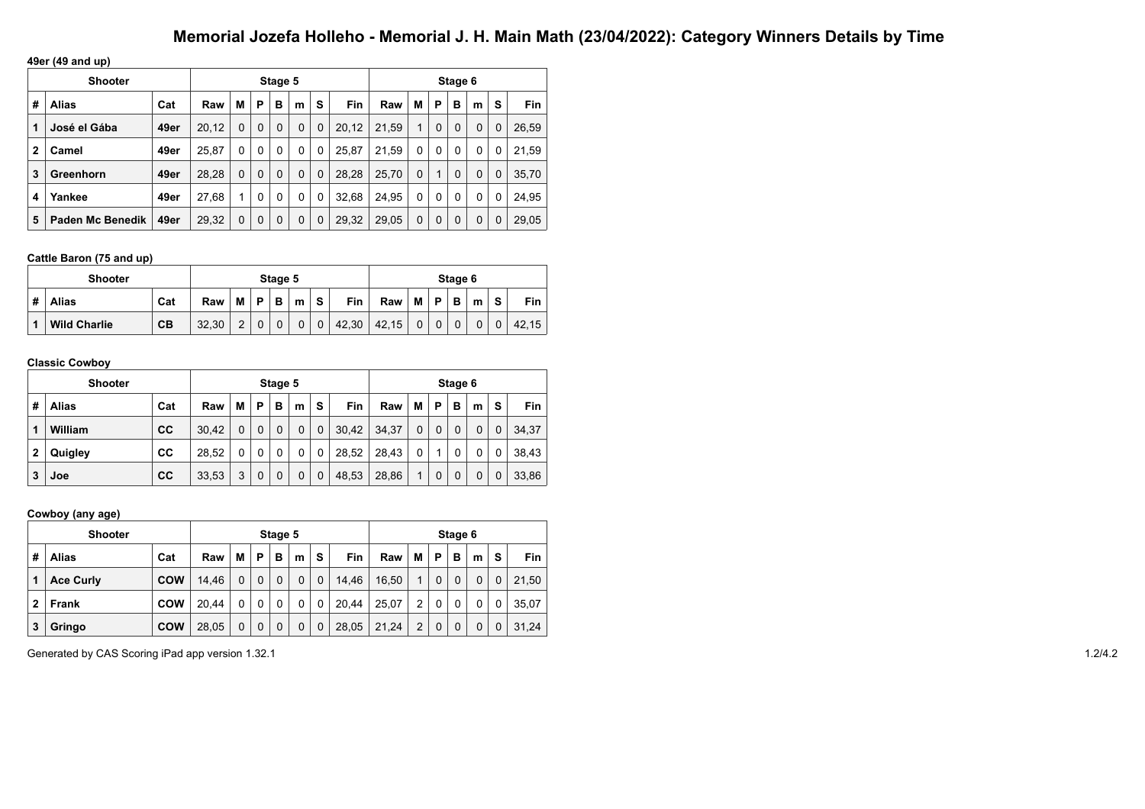**49er (49 and up)**

|              | <b>Shooter</b>   |      |       |          |          | Stage 5 |   |             |            |       |          |          | Stage 6     |              |   |       |
|--------------|------------------|------|-------|----------|----------|---------|---|-------------|------------|-------|----------|----------|-------------|--------------|---|-------|
| #            | Alias            | Cat  | Raw   | М        | Р        | в       | m | s           | <b>Fin</b> | Raw   | M        | P        | в           | m            | S | Fin   |
| 1            | José el Gába     | 49er | 20,12 | 0        | 0        | 0       | 0 | $\mathbf 0$ | 20,12      | 21.59 | 1        | $\Omega$ | $\mathbf 0$ | $\Omega$     | 0 | 26,59 |
| $\mathbf{2}$ | Camel            | 49er | 25.87 | 0        | 0        | 0       | 0 | 0           | 25.87      | 21.59 | 0        | 0        | 0           | 0            | 0 | 21.59 |
| 3            | Greenhorn        | 49er | 28,28 | $\Omega$ | $\Omega$ | 0       | 0 | $\mathbf 0$ | 28,28      | 25,70 | $\Omega$ | 1        | 0           | $\Omega$     | 0 | 35,70 |
| 4            | Yankee           | 49er | 27,68 | 1        | 0        | 0       | 0 | 0           | 32,68      | 24,95 | 0        | 0        | 0           | $\mathbf{0}$ | 0 | 24,95 |
| 5            | Paden Mc Benedik | 49er | 29,32 | 0        | 0        | 0       | 0 | $\mathbf 0$ | 29,32      | 29,05 | 0        | 0        | $\mathbf 0$ | $\Omega$     | 0 | 29,05 |

#### **Cattle Baron (75 and up)**

|   | Shooter             |     |       |   |   | Stage 5 |   |             |            |       |   |   | Stage 6 |          |          |       |
|---|---------------------|-----|-------|---|---|---------|---|-------------|------------|-------|---|---|---------|----------|----------|-------|
| # | <b>Alias</b>        | Cat | Raw   | M | P | В       | m | S           | <b>Fin</b> | Raw   | M | P | в       | m        | <b>S</b> | Fin   |
|   | <b>Wild Charlie</b> | CB  | 32.30 | 2 |   |         | 0 | $\mathbf 0$ | 42,30      | 42.15 |   | 0 | 0       | $\Omega$ |          | 42.15 |

#### **Classic Cowboy**

|   | <b>Shooter</b> |     |       |   |   | Stage 5 |   |             |       |       |   |   | Stage 6 |   |   |       |
|---|----------------|-----|-------|---|---|---------|---|-------------|-------|-------|---|---|---------|---|---|-------|
| # | Alias          | Cat | Raw   | М | Р | в       | m | s           | Fin   | Raw   | M | P | в       | m | s | Fin   |
| 1 | William        | cc  | 30.42 | 0 | 0 | 0       | 0 | 0           | 30,42 | 34,37 | 0 | 0 | 0       | 0 | 0 | 34,37 |
| 2 | Quigley        | CC  | 28.52 | 0 | 0 | 0       | 0 | 0           | 28,52 | 28,43 | 0 |   | 0       | 0 | 0 | 38.43 |
| 3 | Joe            | cc  | 33,53 | 3 | 0 | 0       | 0 | $\mathbf 0$ | 48,53 | 28,86 | 1 | 0 | 0       |   |   | 33,86 |

#### **Cowboy (any age)**

|   | <b>Shooter</b>   |            |       |          |   | Stage 5     |          |             |            |       |   |             | Stage 6 |          |   |       |
|---|------------------|------------|-------|----------|---|-------------|----------|-------------|------------|-------|---|-------------|---------|----------|---|-------|
| # | <b>Alias</b>     | Cat        | Raw   | M        | P | B           | m        | S           | <b>Fin</b> | Raw   | M | Þ           | в       | m        | s | Fin   |
|   | <b>Ace Curly</b> | <b>COW</b> | 14.46 | $\Omega$ | 0 | $\mathbf 0$ | $\Omega$ | $\mathbf 0$ | 14.46      | 16,50 | 1 | $\mathbf 0$ |         | $\Omega$ | 0 | 21.50 |
| 2 | Frank            | <b>COW</b> | 20.44 | 0        | 0 | $\Omega$    | 0        | 0           | 20.44      | 25.07 | 2 | 0           | 0       | 0        | 0 | 35.07 |
| 3 | Gringo           | <b>COW</b> | 28,05 | 0        | 0 | 0           | 0        | $\mathbf 0$ | 28,05      | 21,24 | 2 | $\mathbf 0$ |         | 0        | 0 | 31.24 |

Generated by CAS Scoring iPad app version 1.32.1 1.2/4.2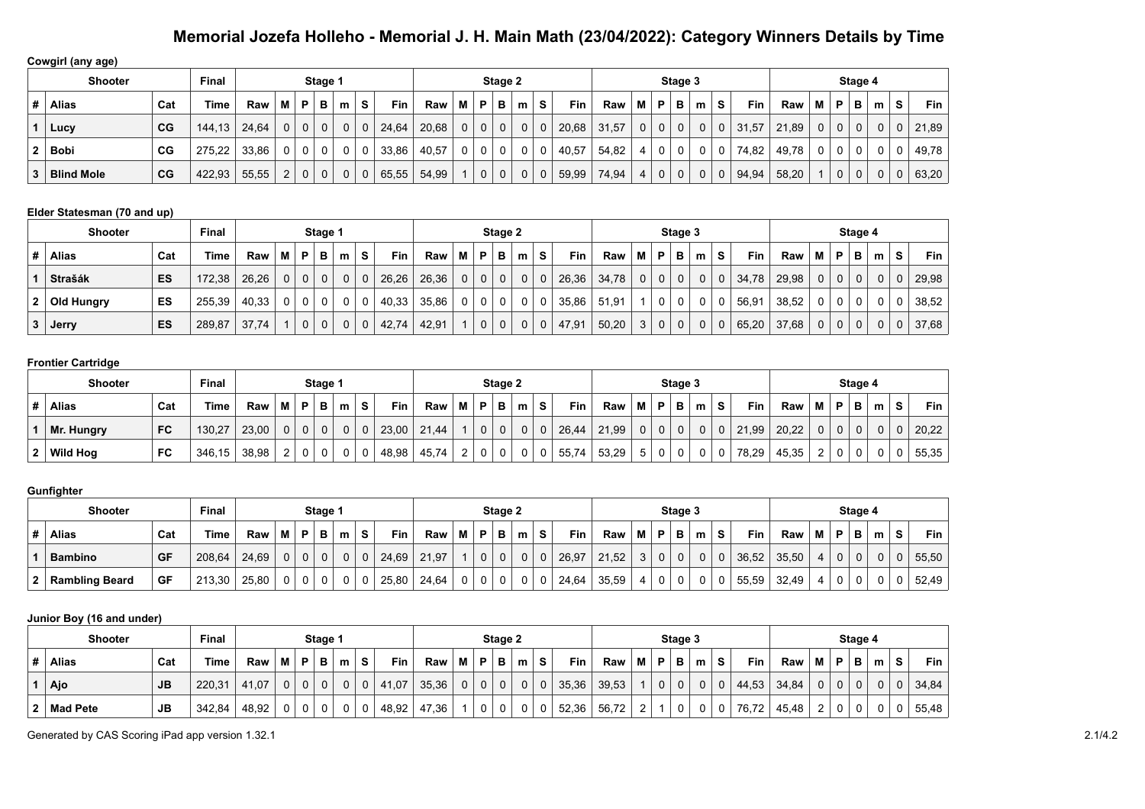**Cowgirl (any age)**

|   | Shooter           |             | <b>Final</b> | Stage 1 |   |          |              |   |          |       |       |             |                | Stage 2     |          |   |       |       |   |             | Stage 3      |          |    |       |       |   |                | Stage 4      |          |   |                    |
|---|-------------------|-------------|--------------|---------|---|----------|--------------|---|----------|-------|-------|-------------|----------------|-------------|----------|---|-------|-------|---|-------------|--------------|----------|----|-------|-------|---|----------------|--------------|----------|---|--------------------|
| # | <b>Alias</b>      | Cat         | Time         | Raw     | м | P        | в            | m | <b>S</b> | Fin   | Raw   | м           | P              | в           | m        | s | Fin   | Raw   | м | P           | в            | m        | S. | Fin   | Raw   | м | P              | в            | m        | s | Fin $\overline{a}$ |
|   | Lucy              | CG          | 144.13       | 24.64   | 0 | $\Omega$ | $\mathbf 0$  |   | 0        | 24,64 | 20,68 | $\mathbf 0$ | $\mathbf 0$    | $\mathbf 0$ | $\Omega$ | 0 | 20,68 | 31.57 | 0 | $\mathbf 0$ | $\mathbf{0}$ | $\Omega$ | 0  | 31,57 | 21.89 | 0 | 0 <sup>1</sup> | $\mathbf{0}$ | $\Omega$ |   | 21,89              |
|   | Bobi              | CG          | 275,22       | 33.86   | 0 | $\cap$   | 0            |   | 0        | 33,86 | 40,57 | 0           | 0              | 0           |          |   | 40,57 | 54.82 |   | 0           | $\Omega$     |          |    | 74,82 | 49,78 | 0 |                |              | 0        |   | 49,78              |
|   | <b>Blind Mole</b> | $_{\rm CG}$ | 422.93       | 55,55   | ົ | $\Omega$ | $\mathbf{0}$ |   | 0        | 65,55 | 54,99 |             | 0 <sup>1</sup> | $\mathbf 0$ | $\Omega$ | 0 | 59,99 | 74.94 | 4 | $\mathbf 0$ | $\mathbf{0}$ | $\Omega$ | 0  | 94,94 | 58,20 |   | 0 <sup>1</sup> | $\mathbf 0$  | $\Omega$ |   | 63,20              |

#### **Elder Statesman (70 and up)**

|   | <b>Shooter</b> |     | <b>Final</b> |       |   |                | Stage 1        |   |             |       |       |                |                | Stage 2      |   |   |            |       |   |             | Stage 3        |          |          |       |       |   |              | Stage 4 |              |   |       |
|---|----------------|-----|--------------|-------|---|----------------|----------------|---|-------------|-------|-------|----------------|----------------|--------------|---|---|------------|-------|---|-------------|----------------|----------|----------|-------|-------|---|--------------|---------|--------------|---|-------|
| # | <b>Alias</b>   | Cat | Time         | Raw   | м | P              | в              | m | S.          | Fin   | Raw   | М              | P              | в            | m | s | <b>Fin</b> | Raw   | M | P           | B I            | m        | S.       | Fin   | Raw   | м | P            | в       | m            | s | Fin   |
|   | <b>Strašák</b> | ES  | 172.38       | 26.26 |   | 0 <sup>1</sup> | 0 <sup>1</sup> | 0 | $\mathbf 0$ | 26,26 | 26,36 | 0 <sup>1</sup> | 0 <sup>1</sup> | $\mathbf{0}$ |   | 0 | 26,36      | 34.78 | 0 | $\mathbf 0$ | 0 <sup>1</sup> | $\Omega$ | $\Omega$ | 34.78 | 29.98 | 0 | $\mathbf{0}$ |         | 0            |   | 29,98 |
| 2 | Old Hungry     | ES  | 255,39       | 40,33 |   | 0              |                |   | 0           | 40,33 | 35,86 | 0              | $\overline{0}$ | $\mathbf 0$  |   | 0 | 35,86      | 51.91 |   |             | 0              | 0        |          | 56,91 | 38,52 | 0 | 0            |         | $\mathbf{0}$ |   | 38,52 |
| 3 | Jerry          | ES  | 289,87       | 37.74 |   | $\mathbf 0$    | 0 <sup>1</sup> | 0 | $\mathbf 0$ | 42,74 | 42.91 |                | 0 <sup>1</sup> | $\mathbf 0$  |   | 0 | 47,91      | 50.20 | 3 | $\mathbf 0$ | 0 <sup>1</sup> | $\Omega$ | $\Omega$ | 65,20 | 37,68 | 0 | $\mathbf{0}$ |         | 0            |   | 37,68 |

#### **Frontier Cartridge**

|    | <b>Shooter</b> |           | <b>Final</b> |       |   |              | Stage 1  |   |             |       |       |   |          | Stage 2 |   |    |            |       |                |                | Stage 3  |   |             |            |       |   |                | Stage 4 |   |    |            |
|----|----------------|-----------|--------------|-------|---|--------------|----------|---|-------------|-------|-------|---|----------|---------|---|----|------------|-------|----------------|----------------|----------|---|-------------|------------|-------|---|----------------|---------|---|----|------------|
|    | <b>Alias</b>   | Cat       | Time         | Raw   | M | <b>P</b>     | в        | m | s           | Fin   | Raw   | M | P.       | в       | m | S. | <b>Fin</b> | Raw   | M              | $\mathsf{P}$ : | в        | m | s           | <b>Fin</b> | Raw   | M | P              | в       | m | S. | <b>Fin</b> |
|    | Mr. Hungry     | <b>FC</b> | 130.27       | 23,00 | 0 | $\Omega$     | $\Omega$ |   | $\mathbf 0$ | 23,00 | 21,44 |   | $\Omega$ |         |   |    | 26,44      | 21.99 | 0 <sup>1</sup> |                | $\Omega$ |   | $\mathbf 0$ | 21,99      | 20.22 |   | 0 <sup>1</sup> |         |   |    | 20,22      |
| 2. | Wild Hog       | FC        | 346,15       | 38,98 |   | $\mathbf{O}$ | $\Omega$ |   | 0           | 48,98 | 45,74 |   |          |         |   |    | 55,74      | 53,29 | 5 <sup>1</sup> |                | $\Omega$ |   | $\mathbf 0$ | 78,29      | 45,35 |   | 0              |         |   | 0  | 55,35      |

#### **Gunfighter**

|   | <b>Shooter</b> |     | Final  |       |                |   | <b>Stage</b> |   |             |       |       |   |          | Stage 2 |   |    |       |       |   |   | Stage 3  |   |             |       |       |   |             | Stage 4 |   |       |
|---|----------------|-----|--------|-------|----------------|---|--------------|---|-------------|-------|-------|---|----------|---------|---|----|-------|-------|---|---|----------|---|-------------|-------|-------|---|-------------|---------|---|-------|
| # | Alias          | Cat | Time   | Raw   | M I            | D | в            | m | S           | Fin   | Raw   | м | P        | в       | m | S. | Fin   | Raw   | м | P | в        | m | S.          | Fin   | Raw   | M | D.          | в       | m | Fin.  |
|   | <b>Bambino</b> | GF  | 208,64 | 24.69 | 0 <sup>1</sup> |   | $\Omega$     |   | $\mathbf 0$ | 24,69 | 21,97 |   | $\Omega$ |         | 0 |    | 26,97 | 21.52 |   | 0 | $\Omega$ |   | $\mathbf 0$ | 36,52 | 35.50 | 4 | $\mathbf 0$ | 0       |   | 55,50 |
|   | Rambling Beard | GF  | 213,30 | 25,80 | 0 <sup>1</sup> |   |              |   | $\mathbf 0$ | 25,80 | 24,64 | 0 | 0        |         | 0 |    | 24,64 | 35,59 | 4 | 0 | 0        |   | 0           | 55,59 | 32.49 |   | v           |         |   | 52.49 |

#### **Junior Boy (16 and under)**

| Shooter         |           | <b>Final</b> |       |        | Stage ' |   |    |       |       |                |          | Stage 2 |          |   |       |       |          |   | Stage 3 |   |              |            |       |   |              | Stage 4 |   |                    |       |
|-----------------|-----------|--------------|-------|--------|---------|---|----|-------|-------|----------------|----------|---------|----------|---|-------|-------|----------|---|---------|---|--------------|------------|-------|---|--------------|---------|---|--------------------|-------|
| <b>Alias</b>    | Cat       | Time         | Raw   | M I    |         | m | S. | Fin   | Raw   | M              | P.       | в       | m        | s | Fin   | Raw   | М        | P | в       | m | S.           | <b>Fin</b> | Raw   | М | P            | в       | m | $\mathbf{C}$<br>C. | Fin   |
| Ajo             | <b>JB</b> | 220,31       | 41.07 | $\cap$ |         |   |    | 41,07 | 35,36 | $\overline{0}$ | $\Omega$ |         | $\Omega$ | 0 | 35,36 | 39,53 |          | 0 | 0       |   | 0            | 44,53      | 34,84 |   | $\mathbf{0}$ |         |   |                    | 34.84 |
| <b>Mad Pete</b> | <b>JB</b> | 342,84       | 48,92 |        |         |   |    | 48,92 | 47,36 |                |          |         |          | 0 | 52,36 | 56,72 | <u>_</u> |   |         |   | $\mathbf{0}$ | 76,72      | 45,48 | _ |              |         |   |                    | 55,48 |

Generated by CAS Scoring iPad app version 1.32.1 2.1/4.2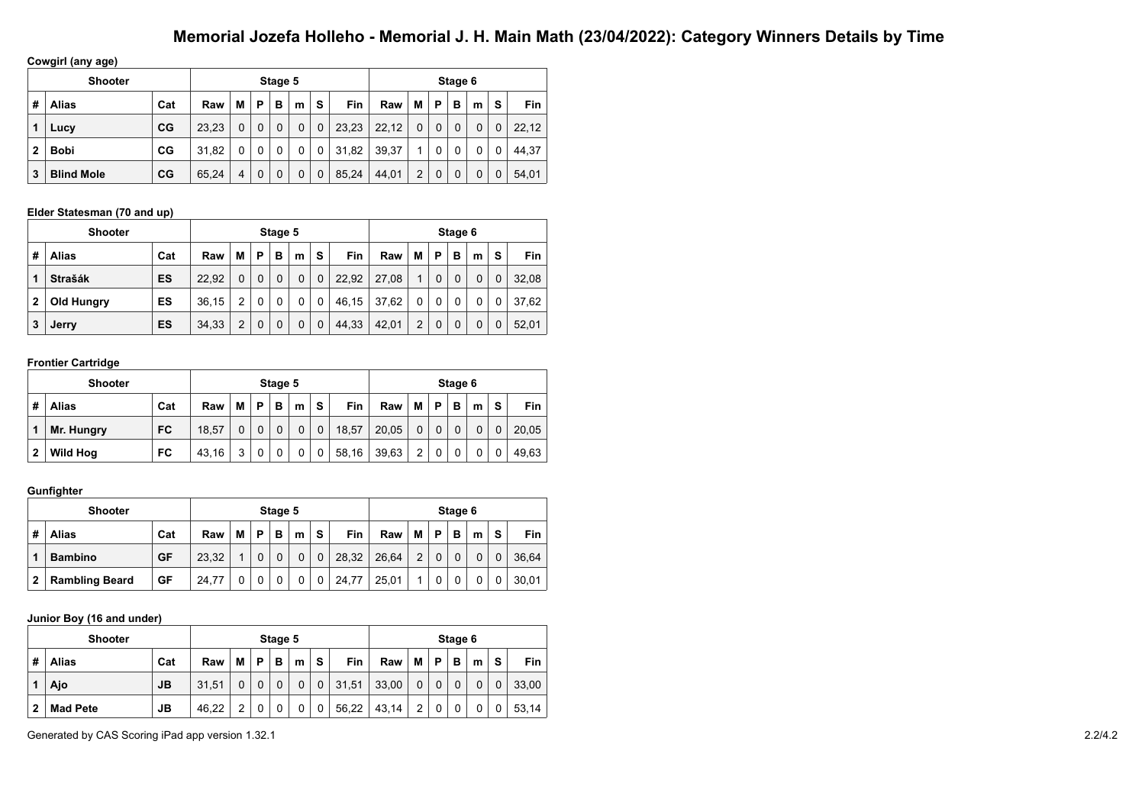**Cowgirl (any age)**

|              | $\cdot$<br>. .    |     |       |   |          |   |   |             |            |       |   |         |   |   |             |       |
|--------------|-------------------|-----|-------|---|----------|---|---|-------------|------------|-------|---|---------|---|---|-------------|-------|
|              | <b>Shooter</b>    |     |       |   | Stage 5  |   |   |             |            |       |   | Stage 6 |   |   |             |       |
| #            | <b>Alias</b>      | Cat | Raw   | М | P        | в | m | S           | <b>Fin</b> | Raw   | M | Р       | в | m | s           | Fin.  |
|              | Lucy              | CG  | 23.23 | 0 | $\Omega$ | 0 | 0 | $\mathbf 0$ | 23,23      | 22,12 | 0 | 0       | 0 | 0 | $\mathbf 0$ | 22,12 |
| $\mathbf{2}$ | <b>Bobi</b>       | CG  | 31.82 | 0 | 0        |   | 0 | 0           | 31.82      | 39.37 |   |         | 0 | 0 | 0           | 44.37 |
| 3            | <b>Blind Mole</b> | CG  | 65,24 | 4 | 0        | 0 | 0 | $\mathbf 0$ | 85,24      | 44,01 | 2 | 0       | 0 | 0 | 0           | 54,01 |

#### **Elder Statesman (70 and up)**

|              | <b>Shooter</b> |     |       |   |   | Stage 5 |   |              |       |       |   |          | Stage 6 |   |   |       |
|--------------|----------------|-----|-------|---|---|---------|---|--------------|-------|-------|---|----------|---------|---|---|-------|
| #            | Alias          | Cat | Raw   | М | Р | в       | m | s            | Fin   | Raw   | M | P        | в       | m | s | Fin   |
|              | <b>Strašák</b> | ES  | 22.92 | 0 | 0 | 0       | 0 | 0            | 22,92 | 27.08 | 1 | $\Omega$ | 0       | 0 | 0 | 32.08 |
| $\mathbf{2}$ | Old Hungry     | ES  | 36.15 | 2 | 0 | 0       | 0 | $\mathbf 0$  | 46,15 | 37,62 | 0 | $\Omega$ | 0       | 0 | 0 | 37.62 |
| 3            | Jerry          | ES  | 34,33 | 2 | 0 | 0       | 0 | $\mathbf{0}$ | 44,33 | 42,01 | 2 | 0        | 0       | 0 |   | 52.01 |

#### **Frontier Cartridge**

|              | <b>Shooter</b>  |           |       |   |   | Stage 5  |   |          |            |       |   |   | Stage 6 |          |          |       |
|--------------|-----------------|-----------|-------|---|---|----------|---|----------|------------|-------|---|---|---------|----------|----------|-------|
| #            | Alias           | Cat       | Raw   | М | P | в        | m | S        | <b>Fin</b> | Raw   | M | P | в       | m        | s        | Fin   |
|              | Mr. Hungry      | <b>FC</b> | 18.57 | 0 | 0 | $\Omega$ | 0 | $\Omega$ | 18.57      | 20.05 |   |   | 0       | $\Omega$ | $\Omega$ | 20,05 |
| $\mathbf{2}$ | <b>Wild Hog</b> | FC        | 43.16 | 3 |   |          | 0 | 0        | 58,16      | 39,63 | っ |   | 0       | 0        | 0        | 49.63 |

#### **Gunfighter**

|              | <b>Shooter</b>        |     |       |   |   | Stage 5 |   |             |       |       |   |   | Stage 6 |   |   |       |
|--------------|-----------------------|-----|-------|---|---|---------|---|-------------|-------|-------|---|---|---------|---|---|-------|
| #            | Alias                 | Cat | Raw   | М | Р | в       | m | S           | Fin   | Raw   | M | P | в       | m | s | Fin   |
|              | <b>Bambino</b>        | GF  | 23.32 |   |   |         | 0 | $\mathbf 0$ | 28,32 | 26.64 | 2 |   |         | 0 |   | 36.64 |
| $\mathbf{2}$ | <b>Rambling Beard</b> | GF  | 24.77 |   |   |         | 0 | 0           | 24,77 | 25,01 | ◢ |   |         |   |   | 30.01 |

#### **Junior Boy (16 and under)**

|   | <b>Shooter</b>  |     |       |   |   | Stage 5 |   |             |       |       |   |   | Stage 6 |          |          |            |
|---|-----------------|-----|-------|---|---|---------|---|-------------|-------|-------|---|---|---------|----------|----------|------------|
| # | <b>Alias</b>    | Cat | Raw   | М | P | в       | m | S           | Fin   | Raw   | M | P | в       | m        | S        | <b>Fin</b> |
|   | Ajo             | JВ  | 31.51 | 0 |   |         | 0 | $\mathbf 0$ | 31,51 | 33,00 |   |   | 0       | $\Omega$ | $\Omega$ | 33.00      |
| 2 | <b>Mad Pete</b> | JВ  | 46.22 | 2 |   |         | 0 | 0           | 56,22 | 43,14 | 2 |   | 0       | 0        | 0        | 53.14      |

Generated by CAS Scoring iPad app version 1.32.1 2.2/4.2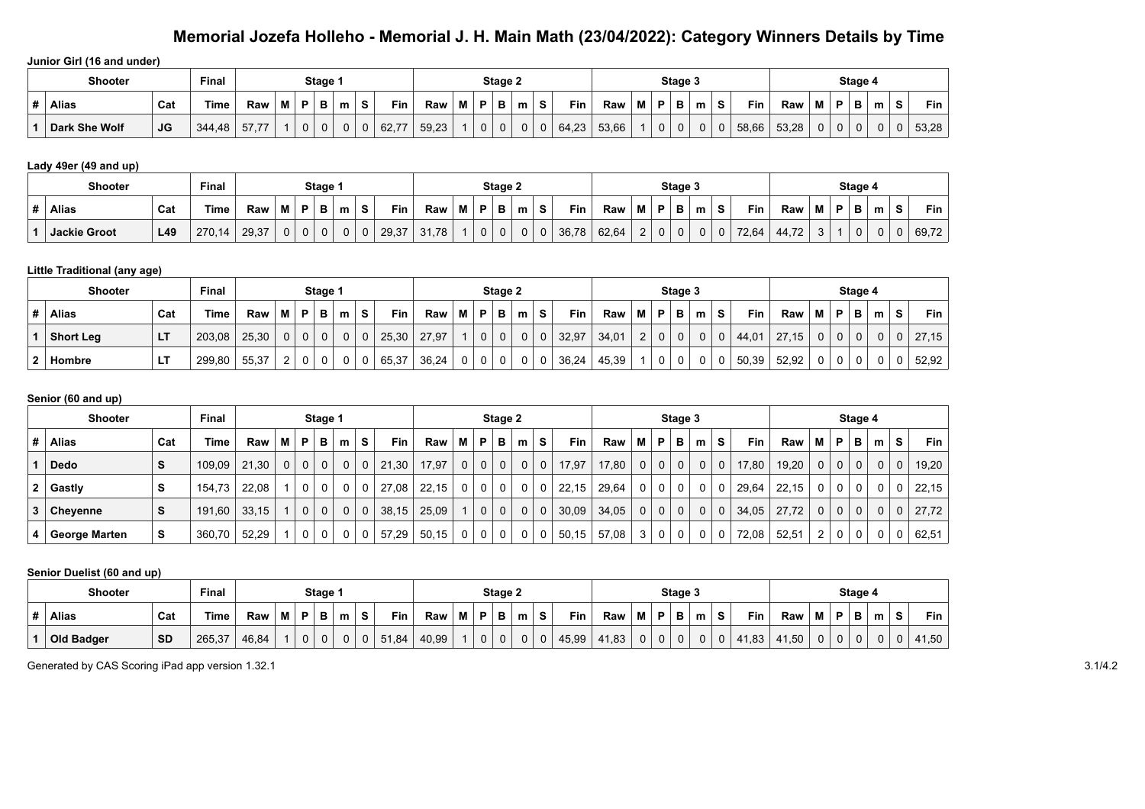**Junior Girl (16 and under)**

|   | <b>Shooter</b> |     | Final  |                     |   | Stage ' |   |   |       |       |   |             | Stage 2 |   |   |       |       |   | Stage 3 |   |   |       |       |   |   | Stage 4 |   |        |       |
|---|----------------|-----|--------|---------------------|---|---------|---|---|-------|-------|---|-------------|---------|---|---|-------|-------|---|---------|---|---|-------|-------|---|---|---------|---|--------|-------|
| # | <b>Alias</b>   | Cat | ⊺ime   | Raw                 | D | D       | m | s | Fin   | Raw   | M | D           | в       | m |   | Fin   | Raw   | D | в       | m |   | Fin   | Raw   | м | D | Ð       | m | c<br>G | Fin   |
|   | Dark She Wolf  | JG  | 344,48 | $- -$<br>--<br>51.1 | ັ | 0       |   | 0 | 62,77 | 59.23 |   | $\mathbf 0$ | υ       |   | υ | 64,23 | 53.66 | 0 | ັບ      |   | 0 | 58,66 | 53,28 | ν | 0 |         | 0 |        | 53,28 |

#### **Lady 49er (49 and up)**

| <b>Shooter</b>      |     | <b>Final</b> |       |   |   | Stage 1 |   |   |            |       |   |             | Stage 2 |   |   |       |       |           |   | Stage 3 |   |   |            |                     |             |   | Stage 4 |   |                |       |
|---------------------|-----|--------------|-------|---|---|---------|---|---|------------|-------|---|-------------|---------|---|---|-------|-------|-----------|---|---------|---|---|------------|---------------------|-------------|---|---------|---|----------------|-------|
| <b>Alias</b>        | Cat | Time         | Raw   | м | D | в.<br>D | m | s | <b>Fin</b> | Raw   | M | D           |         | m | s | Fin   | Raw   | <b>BA</b> | Ð | в       | m | s | <b>Fin</b> | Raw                 | M           | D |         | m | $\bullet$<br>P | Fin   |
| <b>Jackie Groot</b> | L49 | 270,<br>14   | 29.37 |   |   | 0       |   | 0 | 29,37      | 31,78 |   | $\sim$<br>u |         |   | υ | 36,78 | 62,64 | $\sim$    |   | 0       |   |   | 72.64      | 44.72<br>$\sqrt{2}$ | $\sim$<br>ັ |   | u       | u | 0              | 69,72 |

#### **Little Traditional (any age)**

| <b>Shooter</b>   |     | Final  |       |          |   | Stage 1  |   |   |       |       |   |          | Stage 2 |   |   |       |       |                |              | Stage 3  |   |             |            |       |   |   | Stage 4 |   |   |            |
|------------------|-----|--------|-------|----------|---|----------|---|---|-------|-------|---|----------|---------|---|---|-------|-------|----------------|--------------|----------|---|-------------|------------|-------|---|---|---------|---|---|------------|
| <b>Alias</b>     | Cat | Time   | Raw   | М        | D | в        | m | S | Fin   | Raw   | M | D        | в       | m | s | Fin   | Raw   | M              | P            | в        | m | S.          | <b>Fin</b> | Raw   | Μ | Þ | в       | m | s | <b>Fin</b> |
| <b>Short Leg</b> | LT  | 203,08 | 25,30 | $\Omega$ |   | $\Omega$ | 0 | 0 | 25,30 | 27,97 |   | $\Omega$ |         |   |   | 32,97 | 34,01 | $\overline{2}$ | $\mathbf{0}$ | $\Omega$ |   | $\mathbf 0$ | 44,01      | 27.15 | 0 |   | 0       |   |   | 27,15      |
| Hombre           | ᄓ   | 299,80 | 55,37 | ົ        |   |          |   |   | 65,37 | 36,24 |   |          |         |   |   | 36,24 | 45.39 |                | 0            |          |   | 0           | 50,39      | 52,92 |   |   |         |   |   | 52,92      |

#### **Senior (60 and up)**

|    | <b>Shooter</b>  |     | <b>Final</b> |       |                |                | Stage 1        |                |                |            |       |              |                | Stage 2        |             |             |       |       |                |             | Stage 3        |              |              |            |       |             |                | Stage 4     |          |              |       |
|----|-----------------|-----|--------------|-------|----------------|----------------|----------------|----------------|----------------|------------|-------|--------------|----------------|----------------|-------------|-------------|-------|-------|----------------|-------------|----------------|--------------|--------------|------------|-------|-------------|----------------|-------------|----------|--------------|-------|
| #  | Alias           | Cat | Time         | Raw   | M              | P              | в              | m              | S              | <b>Fin</b> | Raw   | м            | P              | в              | m           | S.          | Fin   | Raw   | м              | P           | в              | m            | <b>S</b>     | <b>Fin</b> | Raw   | м           | P              | в           | m        | S.           | Fin   |
|    | <b>Dedo</b>     | S   | 109,09       | 21,30 | 0 <sup>1</sup> | 0 <sup>1</sup> | $\overline{0}$ |                | $0 \mid 0$     | 21,30      | 17,97 | $\mathbf{0}$ | 0 <sup>1</sup> | 0 <sup>1</sup> | $\mathbf 0$ | $\mathbf 0$ | 17,97 | 17,80 | 0 <sup>1</sup> | $\mathbf 0$ | 0 <sup>1</sup> | $\mathbf{0}$ | $\mathbf 0$  | 17,80      | 19,20 | $\mathbf 0$ | 0 <sup>1</sup> | $\mathbf 0$ | $\Omega$ | $\mathbf{0}$ | 19,20 |
|    | $2  $ Gastly    | S.  | 154.73       | 22.08 |                | 0 <sup>1</sup> | $\Omega$       |                | 0              | 27.08      | 22,15 | 0            | 0 <sup>1</sup> | 0 <sup>1</sup> | $\mathbf 0$ | 0           | 22,15 | 29.64 |                | $0 \mid 0$  | $\mathbf 0$    |              | $\mathbf{0}$ | 29,64      | 22.15 | 0           | 0 <sup>1</sup> | $\mathbf 0$ | $\Omega$ |              | 22.15 |
| 3. | <b>Chevenne</b> | S   | 191.60       | 33.15 | $\overline{1}$ | 0 <sup>1</sup> | $\overline{0}$ | 0 <sup>1</sup> | $\overline{0}$ | 38,15      | 25,09 |              | 0 <sup>1</sup> | 0 <sup>1</sup> | $\mathbf 0$ | $\mathbf 0$ | 30,09 | 34,05 |                | $0 \mid 0$  | 0 <sup>1</sup> | $\mathbf{0}$ | $\mathbf 0$  | 34,05      | 27.72 | $\mathbf 0$ | 0 <sup>1</sup> | $\mathbf 0$ | $\Omega$ | $\Omega$     | 27.72 |
|    | George Marten   | s   | 360,70       | 52,29 |                |                | $\Omega$       | 0              | 0              | 57,29      | 50,15 | 0            | $\mathbf{0}$   | 0 <sup>1</sup> | $\mathbf 0$ | 0           | 50,15 | 57,08 | 3 <sup>1</sup> | $\mathbf 0$ | $\mathbf{0}$   | $\Omega$     | 0            | 72,08      | 52,51 | 2           | $\mathbf 0$    |             | $\Omega$ |              | 62,51 |

#### **Senior Duelist (60 and up)**

| <b>Shooter</b>    |           | Final  |       |       | Stage <sup>-</sup> |   |   |       |       |   |          | Stage 2 |   |   |       |       |   |   | Stage 3 |   |          |       |       |   | Stage 4  |   |                |       |
|-------------------|-----------|--------|-------|-------|--------------------|---|---|-------|-------|---|----------|---------|---|---|-------|-------|---|---|---------|---|----------|-------|-------|---|----------|---|----------------|-------|
| <b>Alias</b>      | Cat       | Time   | Raw   | <br>M |                    | m | s | Fin   | Raw   | M | D        | в       | m |   | Fin   | Raw   | M | P | P       | m |          | Fin   | Raw   |   | - -      | m | $\bullet$<br>◡ | Fin,  |
| <b>Old Badger</b> | <b>SD</b> | 265,37 | 46,84 |       |                    |   |   | 51,84 | 40,99 |   | $\Omega$ |         |   | υ | 45,99 | 41,83 | υ | 0 | ັ       | U | $\Omega$ | 41,83 | 41,50 | U | $\Omega$ |   |                | 41,50 |

Generated by CAS Scoring iPad app version 1.32.1 3.1/4.2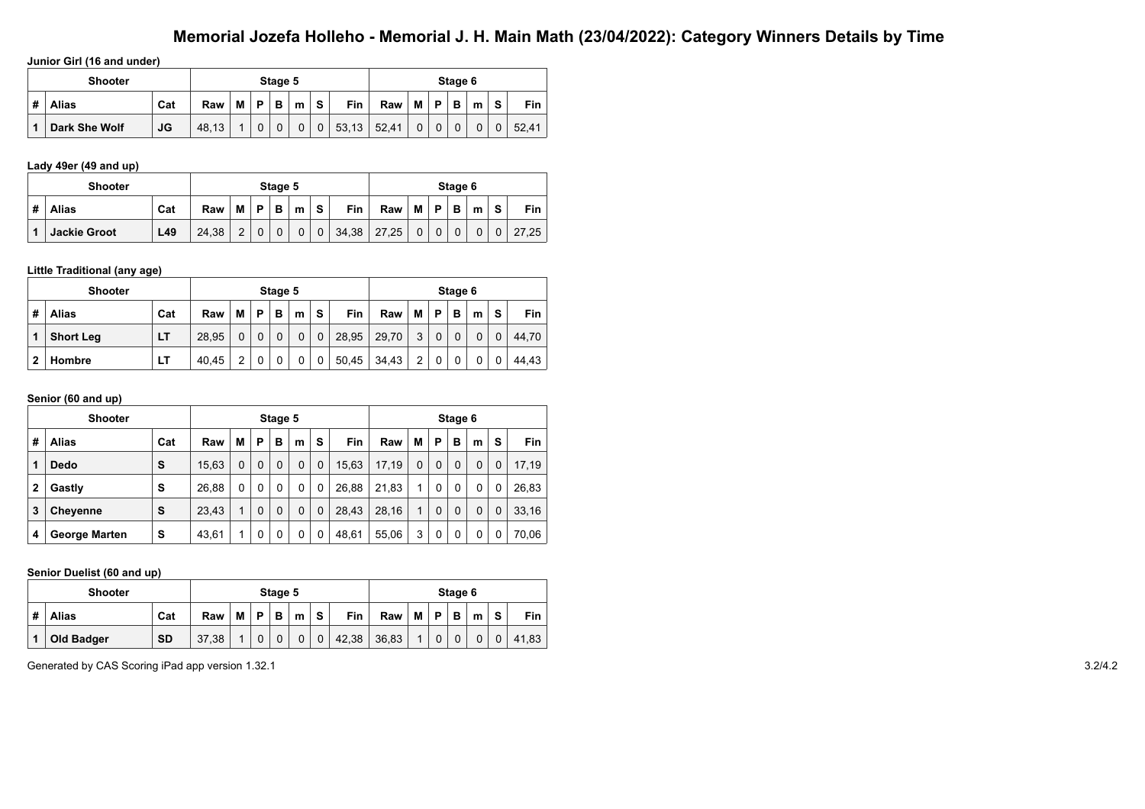**Junior Girl (16 and under)**

|   | <b>Shooter</b> |           |       |   |   | Stage 5 |   |   |            |       |          |   | Stage 6 |   |   |       |
|---|----------------|-----------|-------|---|---|---------|---|---|------------|-------|----------|---|---------|---|---|-------|
| # | Alias          | Cat       | Raw   | м | D | в       | m | S | <b>Fin</b> | Raw   | M        | P | в       | m | S | Fin   |
|   | Dark She Wolf  | <b>JG</b> | 48.13 |   | 0 |         | 0 | 0 | 53,13      | 52,41 | $\Omega$ |   |         | 0 |   | 52.41 |

#### **Lady 49er (49 and up)**

|   | <b>Shooter</b>      |     |       |                |   | Stage 5     |             |             |            |       |              |             | Stage 6 |          |                |       |
|---|---------------------|-----|-------|----------------|---|-------------|-------------|-------------|------------|-------|--------------|-------------|---------|----------|----------------|-------|
| # | <b>Alias</b>        | Cat | Raw   | М              | P | в           | m           | <b>S</b>    | <b>Fin</b> | Raw   | M            | P           | B       | m        | S              | Fin   |
|   | <b>Jackie Groot</b> | L49 | 24.38 | $\overline{2}$ |   | $\mathbf 0$ | $\mathbf 0$ | $\mathbf 0$ | 34,38      | 27,25 | $\mathbf{0}$ | $\mathbf 0$ |         | $\Omega$ | 0 <sup>1</sup> | 27.25 |

#### **Little Traditional (any age)**

|   | <b>Shooter</b>   |     |       |   |   | Stage 5 |   |             |            |       |   |   | Stage 6 |   |   |       |
|---|------------------|-----|-------|---|---|---------|---|-------------|------------|-------|---|---|---------|---|---|-------|
| # | <b>Alias</b>     | Cat | Raw   | М | Р | в       | m | S           | <b>Fin</b> | Raw   | М | P | в       | m | s | Fin   |
|   | <b>Short Leg</b> | LT  | 28.95 | 0 |   |         | 0 | $\mathbf 0$ | 28,95      | 29,70 | 3 |   |         | 0 |   | 44.70 |
| 2 | Hombre           | LТ  | 40.45 | 2 |   |         | 0 | 0           | 50,45      | 34,43 | 2 |   |         |   |   | 44.43 |

#### **Senior (60 and up)**

|              | <b>Shooter</b>       |     |       |          |   | Stage 5     |          |   |            |       |          |             | Stage 6 |   |   |       |
|--------------|----------------------|-----|-------|----------|---|-------------|----------|---|------------|-------|----------|-------------|---------|---|---|-------|
| #            | <b>Alias</b>         | Cat | Raw   | M        | P | в           | m        | s | <b>Fin</b> | Raw   | M        | P           | в       | m | s | Fin   |
| 1            | <b>Dedo</b>          | S   | 15.63 | $\Omega$ | 0 | $\mathbf 0$ | 0        | 0 | 15,63      | 17,19 | $\Omega$ | $\mathbf 0$ |         | 0 | 0 | 17,19 |
| $\mathbf{2}$ | Gastly               | s   | 26.88 | 0        | 0 | $\Omega$    | 0        | 0 | 26.88      | 21,83 | 1        | 0           | 0       | 0 | 0 | 26,83 |
| 3            | <b>Cheyenne</b>      | S   | 23.43 |          | 0 | $\mathbf 0$ | $\Omega$ | 0 | 28,43      | 28,16 | 1        | 0           |         | 0 | 0 | 33,16 |
| 4            | <b>George Marten</b> | s   | 43,61 |          | 0 | 0           | 0        | 0 | 48.61      | 55,06 | 3        | 0           |         | 0 |   | 70,06 |

#### **Senior Duelist (60 and up)**

|   | <b>Shooter</b>    |           |       |   |   | Stage 5 |   |   |            |       |   |   | Stage 6 |   |          |       |
|---|-------------------|-----------|-------|---|---|---------|---|---|------------|-------|---|---|---------|---|----------|-------|
| # | <b>Alias</b>      | Cat       | Raw   | М | P | B       | m | S | <b>Fin</b> | Raw   | M | D | в       | m | S.       | Fin   |
|   | <b>Old Badger</b> | <b>SD</b> | 37.38 |   |   |         |   | 0 | 42,38      | 36,83 |   |   | 0       | 0 | $\Omega$ | 41,83 |

Generated by CAS Scoring iPad app version 1.32.1 3.2/4.2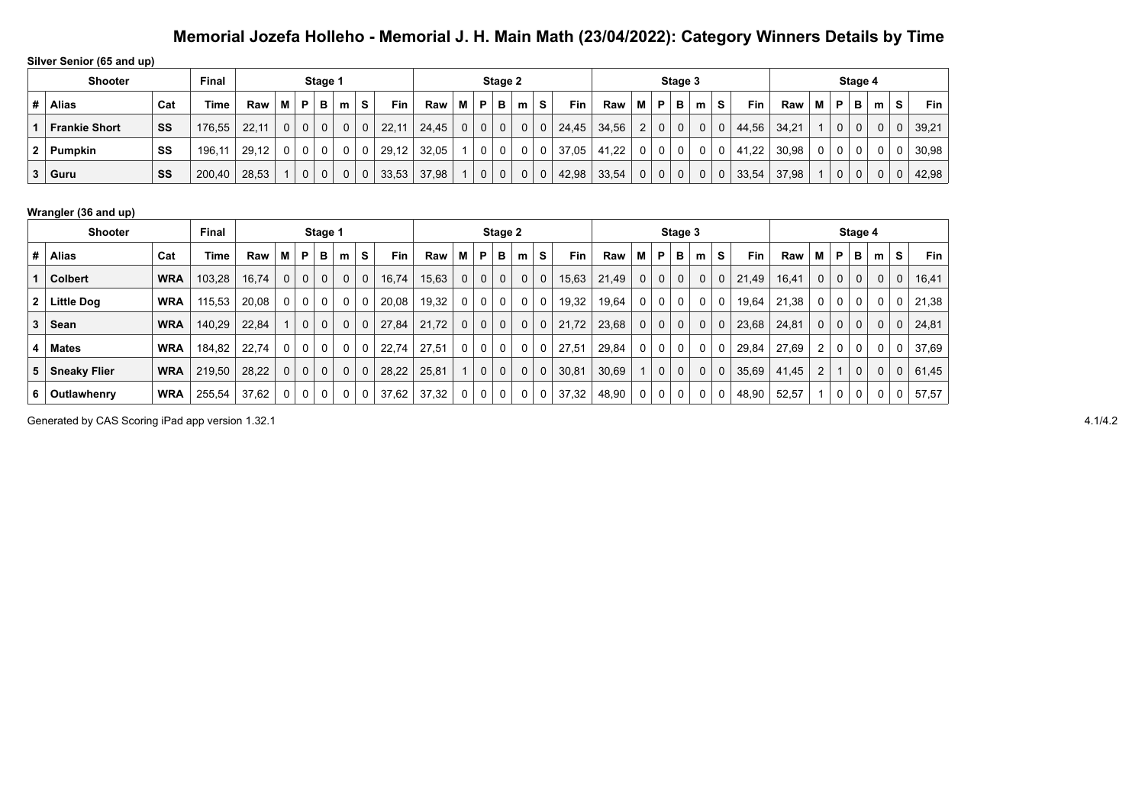**Silver Senior (65 and up)**

|    | <b>Shooter</b>       |     | <b>Final</b> |       |                |             | Stage 1  |              |   |       |       |   |              | Stage 2 |   |              |       |       |                |          | Stage 3     |   |              |       |       |   |                | Stage 4 |             |                |            |
|----|----------------------|-----|--------------|-------|----------------|-------------|----------|--------------|---|-------|-------|---|--------------|---------|---|--------------|-------|-------|----------------|----------|-------------|---|--------------|-------|-------|---|----------------|---------|-------------|----------------|------------|
|    | <b>Alias</b>         | Cat | Time         | Raw   | м              | P           | в        | m            | S | Fin   | Raw   | М | P            | в       | m | s            | Fin.  | Raw   | M I            | <b>P</b> | в           | m | S.           | Fin.  | Raw   | M | P              | в       | m           | S.             | <b>Fin</b> |
|    | <b>Frankie Short</b> | SS  | 176,55       | 22.11 | 0 <sup>1</sup> | $\mathbf 0$ | $\Omega$ | 0            |   | 22,11 | 24.45 |   | $\mathbf{0}$ | 0       | 0 | $\mathbf{0}$ | 24,45 | 34,56 | $\overline{2}$ | 0        | $\Omega$    |   | $\mathbf{0}$ | 44,56 | 34,21 |   | 0 <sup>1</sup> | 0       | $\Omega$    | 0 <sup>1</sup> | 39,21      |
| 2. | Pumpkin              | SS  | 196.         | 29,12 | 0 <sup>1</sup> | 0           | 0        | 0            |   | 29,12 | 32.05 |   |              |         |   | 0            | 37,05 | 41.22 | 0              |          | 0           |   | 0            | 41,22 | 30.98 |   | $\Omega$       | 0       | 0           | $\Omega$       | 30,98      |
|    | $3  $ Guru           | SS  | 200,40       | 28,53 |                | $\mathbf 0$ | $\Omega$ | $\mathbf{0}$ | 0 | 33,53 | 37,98 |   | $\mathbf 0$  |         | 0 | 0            | 42,98 | 33,54 | 0 <sup>1</sup> | 0        | $\mathbf 0$ |   | 0            | 33,54 | 37,98 |   | 0 <sub>1</sub> | 0       | $\mathbf 0$ | $\mathbf 0$    | 42,98      |

#### **Wrangler (36 and up)**

|              | Shooter             |            | Final  |       |          |             | Stage 1      |   |             |       |       |                |                | Stage 2     |             |                |            |       |                |              | Stage 3      |   |             |            |       |          |                         | Stage 4      |             |          |       |
|--------------|---------------------|------------|--------|-------|----------|-------------|--------------|---|-------------|-------|-------|----------------|----------------|-------------|-------------|----------------|------------|-------|----------------|--------------|--------------|---|-------------|------------|-------|----------|-------------------------|--------------|-------------|----------|-------|
| #            | Alias               | Cat        | Time   | Raw   | м        | P           | в            | m | S           | Fin   | Raw   | М              | P              | в           | m           | S.             | <b>Fin</b> | Raw   | м              | P            | в            | m | s           | <b>Fin</b> | Raw   | м        | P                       | в            | m           | s        | Fin   |
|              | <b>Colbert</b>      | <b>WRA</b> | 103.28 | 16,74 | 0        | 0           | $\mathbf{0}$ | 0 | 0           | 16,74 | 15,63 | $\overline{0}$ | $\mathbf{0}$   | $\mathbf 0$ | 0           | $\mathbf{0}$   | 15,63      | 21,49 | 0 <sup>1</sup> | $\mathbf 0$  | $\mathbf{0}$ | 0 | $\mathbf 0$ | 21,49      | 16,41 | 0        | $\overline{0}$          | $\mathbf 0$  | $\mathbf 0$ | 0        | 16,41 |
| $\mathbf{2}$ | Little Dog          | <b>WRA</b> | 115.53 | 20,08 | 0        | 0           | $\mathbf 0$  | 0 |             | 20,08 | 19,32 | 0 <sup>1</sup> | 0 <sup>1</sup> | 0           | 0           | 0              | 19,32      | 19,64 | 0 <sup>1</sup> | 0            | $\mathbf{0}$ | 0 | 0           | 19,64      | 21,38 | 0        | 0                       | 0            | $\Omega$    | 0        | 21,38 |
| 3            | Sean                | <b>WRA</b> | 140.29 | 22.84 |          | $\mathbf 0$ | $\Omega$     | 0 | $\mathbf 0$ | 27.84 | 21.72 | $\Omega$       | 0 <sup>1</sup> | $\mathbf 0$ | $\mathbf 0$ | 0 <sub>1</sub> | 21,72      | 23,68 | 0 <sup>1</sup> | $\mathbf{0}$ | $\mathbf{0}$ | 0 | $\mathbf 0$ | 23,68      | 24,81 | $\Omega$ | $\overline{0}$          | $\mathbf{0}$ | $\Omega$    | 0        | 24,81 |
| 4            | <b>Mates</b>        | <b>WRA</b> | 184.82 | 22.74 | 0        | 0           | $\mathbf{0}$ | 0 | 0           | 22.74 | 27.51 | $\overline{0}$ | $\mathbf 0$    | 0           | 0           | $\mathbf 0$    | 27,51      | 29,84 | 0 <sup>1</sup> | 0            | $\mathbf{0}$ | 0 | 0           | 29,84      | 27.69 | 2        | 0                       | 0            | $\Omega$    | 0        | 37,69 |
| 5            | <b>Sneaky Flier</b> | <b>WRA</b> | 219,50 | 28,22 | $\Omega$ | $\mathbf 0$ | $\Omega$     | 0 | 0           | 28,22 | 25,81 |                | $\mathbf{0}$   | $\mathbf 0$ | $\mathbf 0$ | 0              | 30,81      | 30,69 | 1 <sup>1</sup> | $\mathbf 0$  | $\mathbf{0}$ | 0 | $\mathbf 0$ | 35,69      | 41,45 | 2        | $\overline{\mathbf{A}}$ | $\mathbf 0$  | $\Omega$    | $\Omega$ | 61,45 |
| 6.           | <b>Outlawhenry</b>  | <b>WRA</b> | 255,54 | 37,62 | 0        | 0           | $\mathbf 0$  | 0 |             | 37,62 | 37,32 |                | $\mathbf 0$    | 0           | 0           | 0              | 37,32      | 48,90 | $\mathbf{0}$   | 0            | 0            | 0 | 0           | 48,90      | 52,57 |          | 0                       | 0            |             | 0        | 57,57 |

Generated by CAS Scoring iPad app version 1.32.1 4.1/4.2